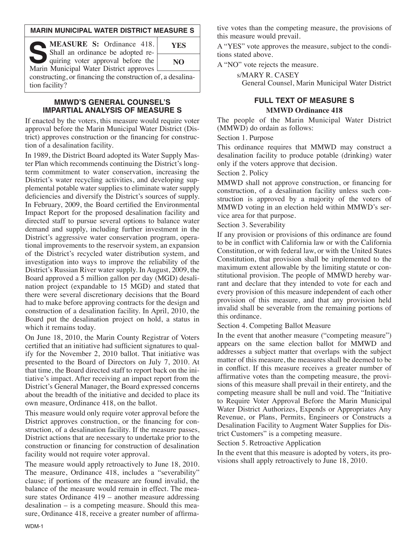#### **MARIN MUNICIPAL WATER DISTRICT MEASURE S**

| <b>MEASURE S:</b> Ordinance 418.<br>Shall an ordinance be adopted re-         | <b>YES</b> |
|-------------------------------------------------------------------------------|------------|
| quiring voter approval before the<br>Marin Municipal Water District approves  | NO         |
| constructing, or financing the construction of, a desalina-<br>tion facility? |            |

#### **MMWD'S GENERAL COUNSEL'S IMPARTIAL ANALYSIS OF MEASURE S**

If enacted by the voters, this measure would require voter approval before the Marin Municipal Water District (District) approves construction or the financing for construction of a desalination facility.

In 1989, the District Board adopted its Water Supply Master Plan which recommends continuing the District's longterm commitment to water conservation, increasing the District's water recycling activities, and developing supplemental potable water supplies to eliminate water supply deficiencies and diversify the District's sources of supply. In February, 2009, the Board certified the Environmental Impact Report for the proposed desalination facility and directed staff to pursue several options to balance water demand and supply, including further investment in the District's aggressive water conservation program, operational improvements to the reservoir system, an expansion of the District's recycled water distribution system, and investigation into ways to improve the reliability of the District's Russian River water supply. In August, 2009, the Board approved a 5 million gallon per day (MGD) desalination project (expandable to 15 MGD) and stated that there were several discretionary decisions that the Board had to make before approving contracts for the design and construction of a desalination facility. In April, 2010, the Board put the desalination project on hold, a status in which it remains today.

On June 18, 2010, the Marin County Registrar of Voters certified that an initiative had sufficient signatures to qualify for the November 2, 2010 ballot. That initiative was presented to the Board of Directors on July 7, 2010. At that time, the Board directed staff to report back on the initiative's impact. After receiving an impact report from the District's General Manager, the Board expressed concerns about the breadth of the initiative and decided to place its own measure, Ordinance 418, on the ballot.

This measure would only require voter approval before the District approves construction, or the financing for construction, of a desalination facility. If the measure passes, District actions that are necessary to undertake prior to the construction or financing for construction of desalination facility would not require voter approval.

The measure would apply retroactively to June 18, 2010. The measure, Ordinance 418, includes a "severability" clause; if portions of the measure are found invalid, the balance of the measure would remain in effect. The measure states Ordinance 419 – another measure addressing desalination – is a competing measure. Should this measure, Ordinance 418, receive a greater number of affirmative votes than the competing measure, the provisions of this measure would prevail.

A "YES" vote approves the measure, subject to the conditions stated above.

A "NO" vote rejects the measure.

s/MARY R. CASEY General Counsel, Marin Municipal Water District

## **FULL TEXT OF MEASURE S MMWD Ordinance 418**

The people of the Marin Municipal Water District (MMWD) do ordain as follows:

Section 1. Purpose

This ordinance requires that MMWD may construct a desalination facility to produce potable (drinking) water only if the voters approve that decision.

Section 2. Policy

MMWD shall not approve construction, or financing for construction, of a desalination facility unless such construction is approved by a majority of the voters of MMWD voting in an election held within MMWD's service area for that purpose.

Section 3. Severability

If any provision or provisions of this ordinance are found to be in conflict with California law or with the California Constitution, or with federal law, or with the United States Constitution, that provision shall be implemented to the maximum extent allowable by the limiting statute or constitutional provision. The people of MMWD hereby warrant and declare that they intended to vote for each and every provision of this measure independent of each other provision of this measure, and that any provision held invalid shall be severable from the remaining portions of this ordinance.

Section 4. Competing Ballot Measure

In the event that another measure ("competing measure") appears on the same election ballot for MMWD and addresses a subject matter that overlaps with the subject matter of this measure, the measures shall be deemed to be in conflict. If this measure receives a greater number of affirmative votes than the competing measure, the provisions of this measure shall prevail in their entirety, and the competing measure shall be null and void. The "Initiative to Require Voter Approval Before the Marin Municipal Water District Authorizes, Expends or Appropriates Any Revenue, or Plans, Permits, Engineers or Constructs a Desalination Facility to Augment Water Supplies for District Customers" is a competing measure.

Section 5. Retroactive Application

In the event that this measure is adopted by voters, its provisions shall apply retroactively to June 18, 2010.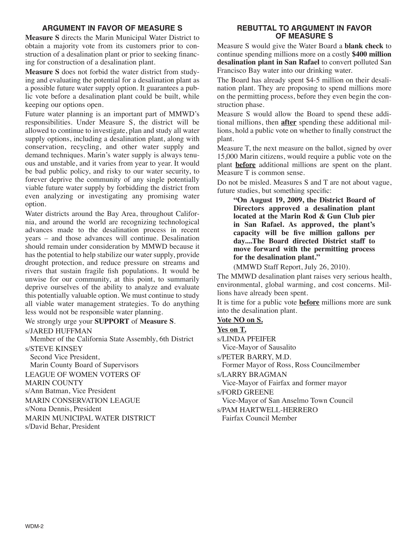### **ARGUMENT IN FAVOR OF MEASURE S**

**Measure S** directs the Marin Municipal Water District to obtain a majority vote from its customers prior to construction of a desalination plant or prior to seeking financing for construction of a desalination plant.

**Measure S** does not forbid the water district from studying and evaluating the potential for a desalination plant as a possible future water supply option. It guarantees a public vote before a desalination plant could be built, while keeping our options open.

Future water planning is an important part of MMWD's responsibilities. Under Measure S, the district will be allowed to continue to investigate, plan and study all water supply options, including a desalination plant, along with conservation, recycling, and other water supply and demand techniques. Marin's water supply is always tenuous and unstable, and it varies from year to year. It would be bad public policy, and risky to our water security, to forever deprive the community of any single potentially viable future water supply by forbidding the district from even analyzing or investigating any promising water option.

Water districts around the Bay Area, throughout California, and around the world are recognizing technological advances made to the desalination process in recent years – and those advances will continue. Desalination should remain under consideration by MMWD because it has the potential to help stabilize our water supply, provide drought protection, and reduce pressure on streams and rivers that sustain fragile fish populations. It would be unwise for our community, at this point, to summarily deprive ourselves of the ability to analyze and evaluate this potentially valuable option. We must continue to study all viable water management strategies. To do anything less would not be responsible water planning.

We strongly urge your **SUPPORT** of **Measure S**.

s/JARED HUFFMAN

Member of the California State Assembly, 6th District s/STEVE KINSEY

Second Vice President, Marin County Board of Supervisors LEAGUE OF WOMEN VOTERS OF MARIN COUNTY s/Ann Batman, Vice President MARIN CONSERVATION LEAGUE s/Nona Dennis, President MARIN MUNICIPAL WATER DISTRICT s/David Behar, President

#### **REBUTTAL TO ARGUMENT IN FAVOR OF MEASURE S**

Measure S would give the Water Board a **blank check** to continue spending millions more on a costly **\$400 million desalination plant in San Rafael** to convert polluted San Francisco Bay water into our drinking water.

The Board has already spent \$4-5 million on their desalination plant. They are proposing to spend millions more on the permitting process, before they even begin the construction phase.

Measure S would allow the Board to spend these additional millions, then **after** spending these additional millions, hold a public vote on whether to finally construct the plant.

Measure T, the next measure on the ballot, signed by over 15,000 Marin citizens, would require a public vote on the plant **before** additional millions are spent on the plant. Measure T is common sense.

Do not be misled. Measures S and T are not about vague, future studies, but something specific:

**"On August 19, 2009, the District Board of Directors approved a desalination plant located at the Marin Rod & Gun Club pier in San Rafael. As approved, the plant's capacity will be five million gallons per day....The Board directed District staff to move forward with the permitting process for the desalination plant."**

(MMWD Staff Report, July 26, 2010).

The MMWD desalination plant raises very serious health, environmental, global warming, and cost concerns. Millions have already been spent.

It is time for a public vote **before** millions more are sunk into the desalination plant.

#### **Vote NO on S.**

**Yes on T.**

s/LINDA PFEIFER Vice-Mayor of Sausalito

s/PETER BARRY, M.D.

Former Mayor of Ross, Ross Councilmember

s/LARRY BRAGMAN

Vice-Mayor of Fairfax and former mayor

s/FORD GREENE

Vice-Mayor of San Anselmo Town Council

s/PAM HARTWELL-HERRERO Fairfax Council Member